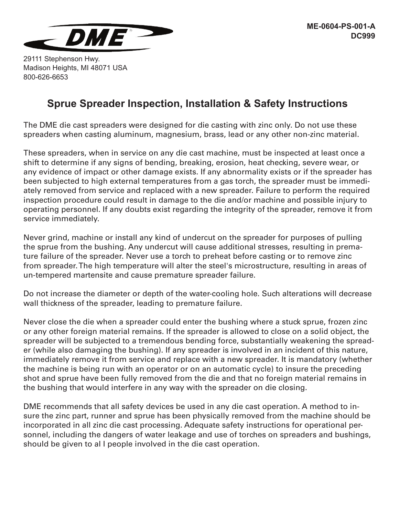

29111 Stephenson Hwy. Madison Heights, MI 48071 USA 800-626-6653

## **Sprue Spreader Inspection, Installation & Safety Instructions**

The DME die cast spreaders were designed for die casting with zinc only. Do not use these spreaders when casting aluminum, magnesium, brass, lead or any other non-zinc material.

These spreaders, when in service on any die cast machine, must be inspected at least once a shift to determine if any signs of bending, breaking, erosion, heat checking, severe wear, or any evidence of impact or other damage exists. If any abnormality exists or if the spreader has been subjected to high external temperatures from a gas torch, the spreader must be immediately removed from service and replaced with a new spreader. Failure to perform the required inspection procedure could result in damage to the die and/or machine and possible injury to operating personnel. If any doubts exist regarding the integrity of the spreader, remove it from service immediately.

Never grind, machine or instalI any kind of undercut on the spreader for purposes of pulling the sprue from the bushing. Any undercut will cause additional stresses, resulting in premature failure of the spreader. Never use a torch to preheat before casting or to remove zinc from spreader. The high temperature will alter the steel's microstructure, resulting in areas of un-tempered martensite and cause premature spreader failure.

Do not increase the diameter or depth of the water-cooling hole. Such alterations will decrease wall thickness of the spreader, leading to premature failure.

Never close the die when a spreader could enter the bushing where a stuck sprue, frozen zinc or any other foreign material remains. If the spreader is allowed to close on a solid object, the spreader will be subjected to a tremendous bending force, substantially weakening the spreader (while also damaging the bushing). If any spreader is involved in an incident of this nature, immediately remove it from service and replace with a new spreader. It is mandatory (whether the machine is being run with an operator or on an automatic cycle) to insure the preceding shot and sprue have been fully removed from the die and that no foreign material remains in the bushing that would interfere in any way with the spreader on die closing.

DME recommends that all safety devices be used in any die cast operation. A method to insure the zinc part, runner and sprue has been physically removed from the machine should be incorporated in all zinc die cast processing. Adequate safety instructions for operational personnel, including the dangers of water leakage and use of torches on spreaders and bushings, should be given to al I people involved in the die cast operation.